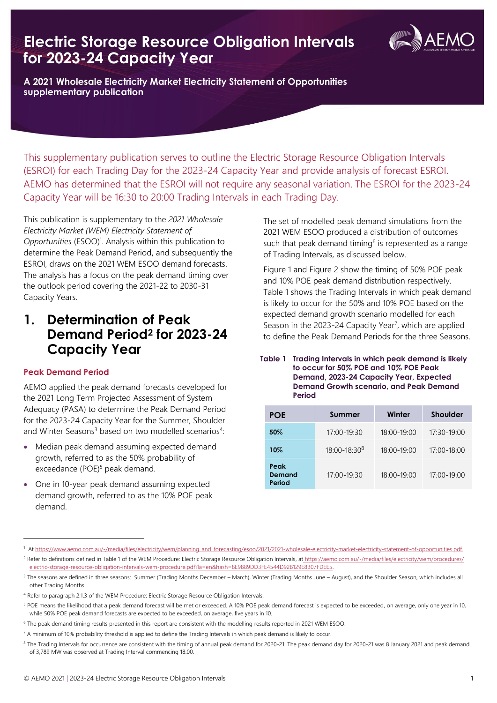# **Electric Storage Resource Obligation Intervals for 2023-24 Capacity Year**



**A 2021 Wholesale Electricity Market Electricity Statement of Opportunities supplementary publication**

This supplementary publication serves to outline the Electric Storage Resource Obligation Intervals (ESROI) for each Trading Day for the 2023-24 Capacity Year and provide analysis of forecast ESROI. AEMO has determined that the ESROI will not require any seasonal variation. The ESROI for the 2023-24 Capacity Year will be 16:30 to 20:00 Trading Intervals in each Trading Day.

This publication is supplementary to the *2021 Wholesale Electricity Market (WEM) Electricity Statement of*  Opportunities (ESOO)<sup>1</sup>. Analysis within this publication to determine the Peak Demand Period, and subsequently the ESROI, draws on the 2021 WEM ESOO demand forecasts. The analysis has a focus on the peak demand timing over the outlook period covering the 2021-22 to 2030-31 Capacity Years.

## **1. Determination of Peak Demand Period<sup>2</sup> for 2023-24 Capacity Year**

## **Peak Demand Period**

AEMO applied the peak demand forecasts developed for the 2021 Long Term Projected Assessment of System Adequacy (PASA) to determine the Peak Demand Period for the 2023-24 Capacity Year for the Summer, Shoulder and Winter Seasons<sup>3</sup> based on two modelled scenarios<sup>4</sup>:

- Median peak demand assuming expected demand growth, referred to as the 50% probability of exceedance (POE) <sup>5</sup> peak demand.
- One in 10-year peak demand assuming expected demand growth, referred to as the 10% POE peak demand.

The set of modelled peak demand simulations from the 2021 WEM ESOO produced a distribution of outcomes such that peak demand timing<sup>6</sup> is represented as a range of Trading Intervals, as discussed below.

Figure 1 and Figure 2 show the timing of 50% POE peak and 10% POE peak demand distribution respectively. Table 1 shows the Trading Intervals in which peak demand is likely to occur for the 50% and 10% POE based on the expected demand growth scenario modelled for each Season in the 2023-24 Capacity Year<sup>7</sup>, which are applied to define the Peak Demand Periods for the three Seasons.

#### **Table 1 Trading Intervals in which peak demand is likely to occur for 50% POE and 10% POE Peak Demand, 2023-24 Capacity Year, Expected Demand Growth scenario, and Peak Demand Period**

| <b>POE</b>               | Summer                   | Winter          | <b>Shoulder</b> |
|--------------------------|--------------------------|-----------------|-----------------|
| $50\%$                   | $17:00 - 19:30$          | $18:00 - 19:00$ | $17:30-19:00$   |
| 10%                      | 18:00-18:30 <sup>8</sup> | $18:00 - 19:00$ | $17:00 - 18:00$ |
| Peak<br>Demand<br>Period | $17:00 - 19:30$          | $18:00 - 19:00$ | $17:00 - 19:00$ |

<sup>&</sup>lt;sup>1</sup> A[t https://www.aemo.com.au/-/media/files/electricity/wem/planning\\_and\\_forecasting/esoo/2021/2021-wholesale-electricity-market-electricity-statement-of-opportunities.pdf.](https://www.aemo.com.au/-/media/files/electricity/wem/planning_and_forecasting/esoo/2021/2021-wholesale-electricity-market-electricity-statement-of-opportunities.pdf)

<sup>&</sup>lt;sup>2</sup> Refer to definitions defined in Table 1 of the WEM Procedure: Electric Storage Resource Obligation Intervals, at [https://aemo.com.au/-/media/files/electricity/wem/procedures/](https://aemo.com.au/-/media/files/electricity/wem/procedures/electric-storage-resource-obligation-intervals-wem-procedure.pdf?la=en&hash=8E9889DD3FE4544D92B129E8B07FDEE5) [electric-storage-resource-obligation-intervals-wem-procedure.pdf?la=en&hash=8E9889DD3FE4544D92B129E8B07FDEE5.](https://aemo.com.au/-/media/files/electricity/wem/procedures/electric-storage-resource-obligation-intervals-wem-procedure.pdf?la=en&hash=8E9889DD3FE4544D92B129E8B07FDEE5)

<sup>&</sup>lt;sup>3</sup> The seasons are defined in three seasons: Summer (Trading Months December – March), Winter (Trading Months June – August), and the Shoulder Season, which includes all other Trading Months.

<sup>&</sup>lt;sup>4</sup> Refer to paragraph 2.1.3 of the WEM Procedure: Electric Storage Resource Obligation Intervals.

<sup>&</sup>lt;sup>5</sup> POE means the likelihood that a peak demand forecast will be met or exceeded. A 10% POE peak demand forecast is expected to be exceeded, on average, only one year in 10, while 50% POE peak demand forecasts are expected to be exceeded, on average, five years in 10.

<sup>6</sup> The peak demand timing results presented in this report are consistent with the modelling results reported in 2021 WEM ESOO.

<sup>7</sup> A minimum of 10% probability threshold is applied to define the Trading Intervals in which peak demand is likely to occur.

<sup>&</sup>lt;sup>8</sup> The Trading Intervals for occurrence are consistent with the timing of annual peak demand for 2020-21. The peak demand day for 2020-21 was 8 January 2021 and peak demand of 3,789 MW was observed at Trading Interval commencing 18:00.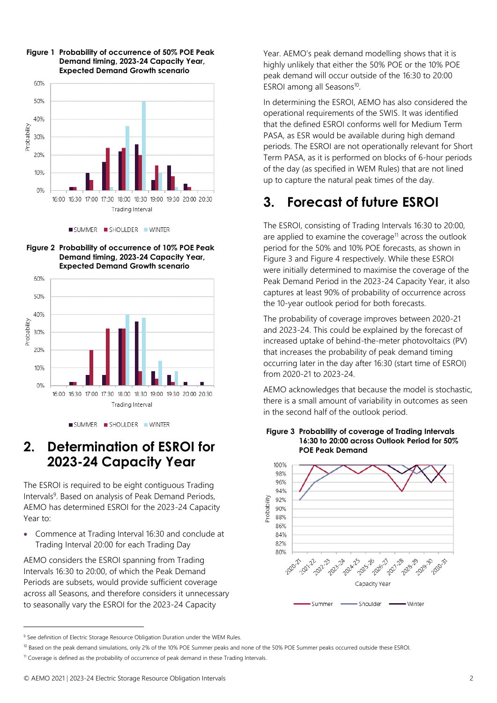







SUMMER SHOULDER WINTER

## **2. Determination of ESROI for 2023-24 Capacity Year**

The ESROI is required to be eight contiguous Trading Intervals<sup>9</sup>. Based on analysis of Peak Demand Periods, AEMO has determined ESROI for the 2023-24 Capacity Year to:

• Commence at Trading Interval 16:30 and conclude at Trading Interval 20:00 for each Trading Day

AEMO considers the ESROI spanning from Trading Intervals 16:30 to 20:00, of which the Peak Demand Periods are subsets, would provide sufficient coverage across all Seasons, and therefore considers it unnecessary to seasonally vary the ESROI for the 2023-24 Capacity

Year. AEMO's peak demand modelling shows that it is highly unlikely that either the 50% POE or the 10% POE peak demand will occur outside of the 16:30 to 20:00 ESROI among all Seasons<sup>10</sup>.

In determining the ESROI, AEMO has also considered the operational requirements of the SWIS. It was identified that the defined ESROI conforms well for Medium Term PASA, as ESR would be available during high demand periods. The ESROI are not operationally relevant for Short Term PASA, as it is performed on blocks of 6-hour periods of the day (as specified in WEM Rules) that are not lined up to capture the natural peak times of the day.

# **3. Forecast of future ESROI**

The ESROI, consisting of Trading Intervals 16:30 to 20:00, are applied to examine the coverage<sup>11</sup> across the outlook period for the 50% and 10% POE forecasts, as shown in Figure 3 and Figure 4 respectively. While these ESROI were initially determined to maximise the coverage of the Peak Demand Period in the 2023-24 Capacity Year, it also captures at least 90% of probability of occurrence across the 10-year outlook period for both forecasts.

The probability of coverage improves between 2020-21 and 2023-24. This could be explained by the forecast of increased uptake of behind-the-meter photovoltaics (PV) that increases the probability of peak demand timing occurring later in the day after 16:30 (start time of ESROI) from 2020-21 to 2023-24.

AEMO acknowledges that because the model is stochastic, there is a small amount of variability in outcomes as seen in the second half of the outlook period.

#### **Figure 3 Probability of coverage of Trading Intervals 16:30 to 20:00 across Outlook Period for 50% POE Peak Demand**



<sup>&</sup>lt;sup>9</sup> See definition of Electric Storage Resource Obligation Duration under the WEM Rules.

<sup>&</sup>lt;sup>10</sup> Based on the peak demand simulations, only 2% of the 10% POE Summer peaks and none of the 50% POE Summer peaks occurred outside these ESROI.

<sup>&</sup>lt;sup>11</sup> Coverage is defined as the probability of occurrence of peak demand in these Trading Intervals.